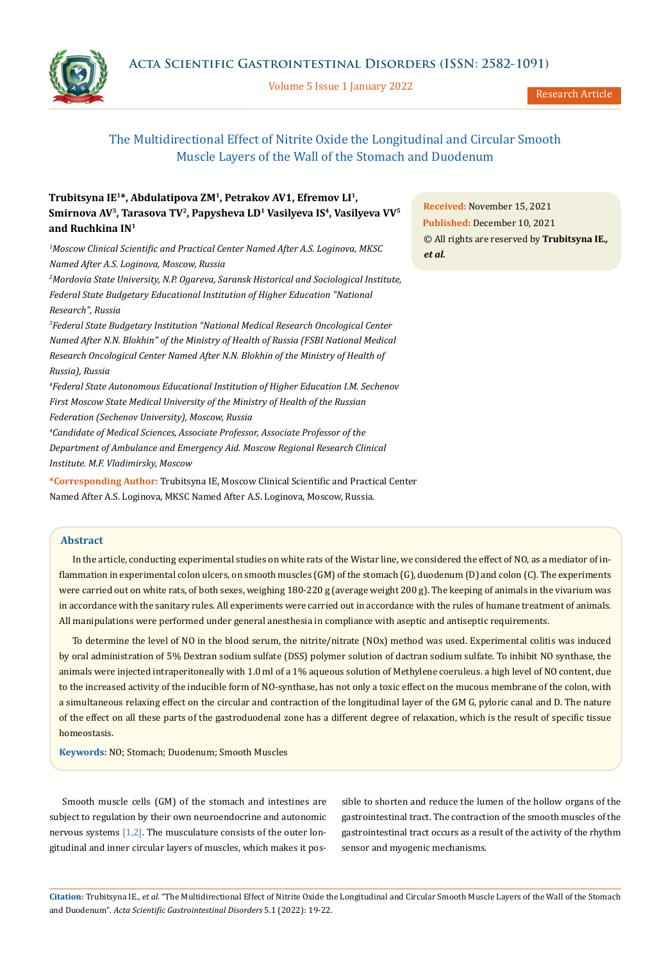Volume 5 Issue 1 January 2022



Research Article

# The Multidirectional Effect of Nitrite Oxide the Longitudinal and Circular Smooth Muscle Layers of the Wall of the Stomach and Duodenum

## **Trubitsyna IE1\*, Abdulatipova ZM1, Petrakov AV1, Efremov LI1,**  Smirnova AV<sup>3</sup>, Tarasova TV<sup>2</sup>, Papysheva LD<sup>1</sup> Vasilyeva IS<sup>4</sup>, Vasilyeva VV<sup>5</sup> **and Ruchkina IN1**

*1 Moscow Clinical Scientific and Practical Center Named After A.S. Loginova, MKSC Named After A.S. Loginova, Moscow, Russia* 

*2 Mordovia State University, N.P. Ogareva, Saransk Historical and Sociological Institute, Federal State Budgetary Educational Institution of Higher Education "National Research", Russia*

*3 Federal State Budgetary Institution "National Medical Research Oncological Center Named After N.N. Blokhin" of the Ministry of Health of Russia (FSBI National Medical Research Oncological Center Named After N.N. Blokhin of the Ministry of Health of Russia), Russia*

*4 Federal State Autonomous Educational Institution of Higher Education I.M. Sechenov First Moscow State Medical University of the Ministry of Health of the Russian Federation (Sechenov University), Moscow, Russia*

*4 Candidate of Medical Sciences, Associate Professor, Associate Professor of the Department of Ambulance and Emergency Aid. Moscow Regional Research Clinical Institute. M.F. Vladimirsky, Moscow*

**\*Corresponding Author:** Trubitsyna IE, Moscow Clinical Scientific and Practical Center Named After A.S. Loginova, MKSC Named After A.S. Loginova, Moscow, Russia.

### **Abstract**

In the article, conducting experimental studies on white rats of the Wistar line, we considered the effect of NO, as a mediator of inflammation in experimental colon ulcers, on smooth muscles (GM) of the stomach (G), duodenum (D) and colon (C). The experiments were carried out on white rats, of both sexes, weighing 180-220 g (average weight 200 g). The keeping of animals in the vivarium was in accordance with the sanitary rules. All experiments were carried out in accordance with the rules of humane treatment of animals. All manipulations were performed under general anesthesia in compliance with aseptic and antiseptic requirements.

To determine the level of NO in the blood serum, the nitrite/nitrate (NOx) method was used. Experimental colitis was induced by oral administration of 5% Dextran sodium sulfate (DSS) polymer solution of dactran sodium sulfate. To inhibit NO synthase, the animals were injected intraperitoneally with 1.0 ml of a 1% aqueous solution of Methylene coeruleus. a high level of NO content, due to the increased activity of the inducible form of NO-synthase, has not only a toxic effect on the mucous membrane of the colon, with a simultaneous relaxing effect on the circular and contraction of the longitudinal layer of the GM G, pyloric canal and D. The nature of the effect on all these parts of the gastroduodenal zone has a different degree of relaxation, which is the result of specific tissue homeostasis.

**Keywords:** NO; Stomach; Duodenum; Smooth Muscles

Smooth muscle cells (GM) of the stomach and intestines are subject to regulation by their own neuroendocrine and autonomic nervous systems [1,2]. The musculature consists of the outer longitudinal and inner circular layers of muscles, which makes it pos-

sible to shorten and reduce the lumen of the hollow organs of the gastrointestinal tract. The contraction of the smooth muscles of the gastrointestinal tract occurs as a result of the activity of the rhythm sensor and myogenic mechanisms.

**Citation:** Trubitsyna IE*., et al.* "The Multidirectional Effect of Nitrite Oxide the Longitudinal and Circular Smooth Muscle Layers of the Wall of the Stomach and Duodenum". *Acta Scientific Gastrointestinal Disorders* 5.1 (2022): 19-22.

**Received:** November 15, 2021 **Published:** December 10, 2021 © All rights are reserved by **Trubitsyna IE***., et al.*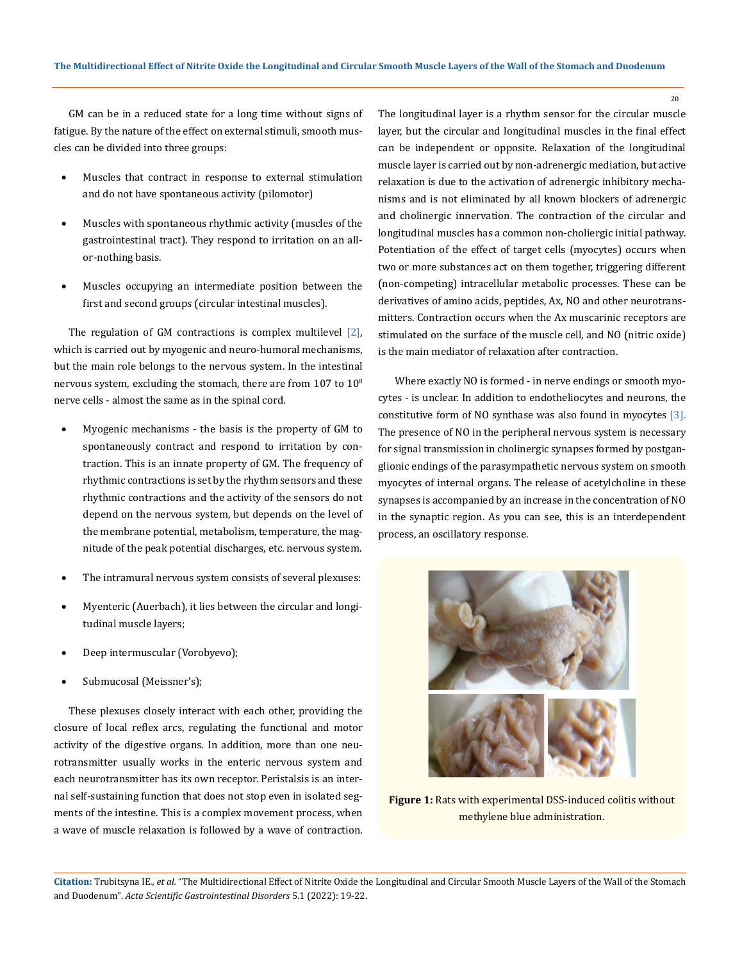GM can be in a reduced state for a long time without signs of fatigue. By the nature of the effect on external stimuli, smooth muscles can be divided into three groups:

- Muscles that contract in response to external stimulation and do not have spontaneous activity (pilomotor)
- Muscles with spontaneous rhythmic activity (muscles of the gastrointestinal tract). They respond to irritation on an allor-nothing basis.
- Muscles occupying an intermediate position between the first and second groups (circular intestinal muscles).

The regulation of GM contractions is complex multilevel [2], which is carried out by myogenic and neuro-humoral mechanisms, but the main role belongs to the nervous system. In the intestinal nervous system, excluding the stomach, there are from  $107$  to  $10^8$ nerve cells - almost the same as in the spinal cord.

- Myogenic mechanisms the basis is the property of GM to spontaneously contract and respond to irritation by contraction. This is an innate property of GM. The frequency of rhythmic contractions is set by the rhythm sensors and these rhythmic contractions and the activity of the sensors do not depend on the nervous system, but depends on the level of the membrane potential, metabolism, temperature, the magnitude of the peak potential discharges, etc. nervous system.
- The intramural nervous system consists of several plexuses:
- Myenteric (Auerbach), it lies between the circular and longitudinal muscle layers;
- Deep intermuscular (Vorobyevo);
- Submucosal (Meissner's);

These plexuses closely interact with each other, providing the closure of local reflex arcs, regulating the functional and motor activity of the digestive organs. In addition, more than one neurotransmitter usually works in the enteric nervous system and each neurotransmitter has its own receptor. Peristalsis is an internal self-sustaining function that does not stop even in isolated segments of the intestine. This is a complex movement process, when a wave of muscle relaxation is followed by a wave of contraction. The longitudinal layer is a rhythm sensor for the circular muscle layer, but the circular and longitudinal muscles in the final effect can be independent or opposite. Relaxation of the longitudinal muscle layer is carried out by non-adrenergic mediation, but active relaxation is due to the activation of adrenergic inhibitory mechanisms and is not eliminated by all known blockers of adrenergic and cholinergic innervation. The contraction of the circular and longitudinal muscles has a common non-choliergic initial pathway. Potentiation of the effect of target cells (myocytes) occurs when two or more substances act on them together, triggering different (non-competing) intracellular metabolic processes. These can be derivatives of amino acids, peptides, Ax, NO and other neurotransmitters. Contraction occurs when the Ax muscarinic receptors are stimulated on the surface of the muscle cell, and NO (nitric oxide) is the main mediator of relaxation after contraction.

 Where exactly NO is formed - in nerve endings or smooth myocytes - is unclear. In addition to endotheliocytes and neurons, the constitutive form of NO synthase was also found in myocytes [3]. The presence of NO in the peripheral nervous system is necessary for signal transmission in cholinergic synapses formed by postganglionic endings of the parasympathetic nervous system on smooth myocytes of internal organs. The release of acetylcholine in these synapses is accompanied by an increase in the concentration of NO in the synaptic region. As you can see, this is an interdependent process, an oscillatory response.



**Figure 1:** Rats with experimental DSS-induced colitis without methylene blue administration.

**Citation:** Trubitsyna IE*., et al.* "The Multidirectional Effect of Nitrite Oxide the Longitudinal and Circular Smooth Muscle Layers of the Wall of the Stomach and Duodenum". *Acta Scientific Gastrointestinal Disorders* 5.1 (2022): 19-22.

20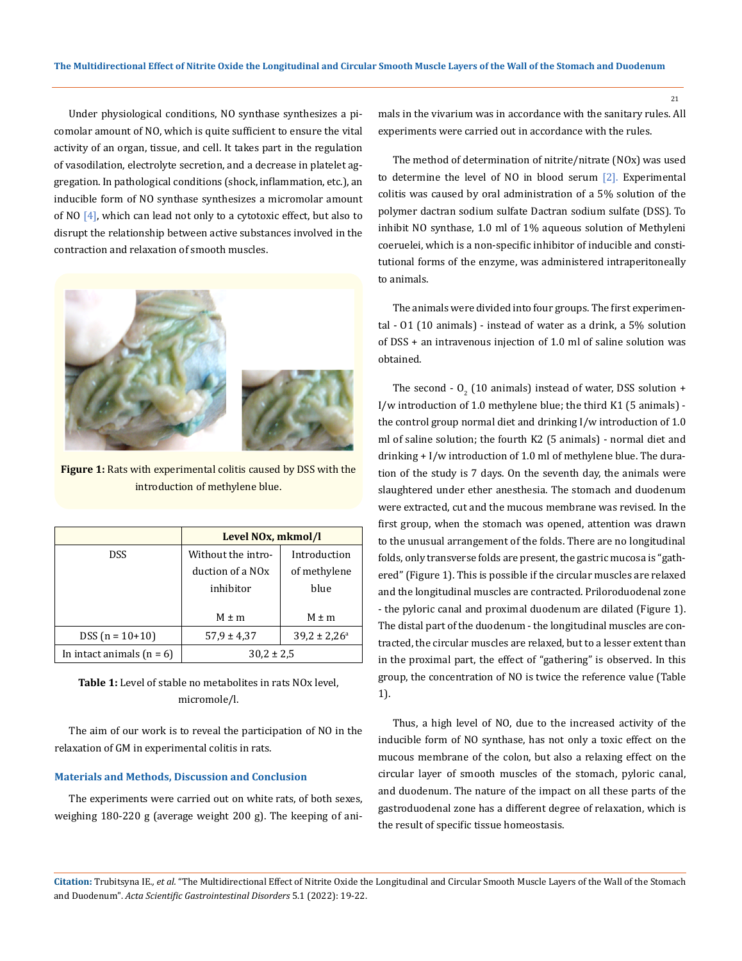Under physiological conditions, NO synthase synthesizes a picomolar amount of NO, which is quite sufficient to ensure the vital activity of an organ, tissue, and cell. It takes part in the regulation of vasodilation, electrolyte secretion, and a decrease in platelet aggregation. In pathological conditions (shock, inflammation, etc.), an inducible form of NO synthase synthesizes a micromolar amount of NO  $[4]$ , which can lead not only to a cytotoxic effect, but also to disrupt the relationship between active substances involved in the contraction and relaxation of smooth muscles.



**Figure 1:** Rats with experimental colitis caused by DSS with the introduction of methylene blue.

|                             | Level NO <sub>x</sub> , mkmol/l |                         |
|-----------------------------|---------------------------------|-------------------------|
| DSS                         | Without the intro-              | Introduction            |
|                             | duction of a NO <sub>x</sub>    | of methylene            |
|                             | inhibitor                       | blue                    |
|                             |                                 |                         |
|                             | $M \pm m$                       | $M \pm m$               |
| $DSS (n = 10+10)$           | $57.9 \pm 4.37$                 | $39.2 \pm 2.26^{\circ}$ |
| In intact animals $(n = 6)$ | $30.2 \pm 2.5$                  |                         |

**Table 1:** Level of stable no metabolites in rats NOx level, micromole/l.

The aim of our work is to reveal the participation of NO in the relaxation of GM in experimental colitis in rats.

#### **Materials and Methods, Discussion and Conclusion**

The experiments were carried out on white rats, of both sexes, weighing 180-220 g (average weight 200 g). The keeping of animals in the vivarium was in accordance with the sanitary rules. All experiments were carried out in accordance with the rules.

The method of determination of nitrite/nitrate (NOx) was used to determine the level of NO in blood serum [2]. Experimental colitis was caused by oral administration of a 5% solution of the polymer dactran sodium sulfate Dactran sodium sulfate (DSS). To inhibit NO synthase, 1.0 ml of 1% aqueous solution of Methyleni coeruelei, which is a non-specific inhibitor of inducible and constitutional forms of the enzyme, was administered intraperitoneally to animals.

The animals were divided into four groups. The first experimental - O1 (10 animals) - instead of water as a drink, a 5% solution of DSS + an intravenous injection of 1.0 ml of saline solution was obtained.

The second -  $O_2$  (10 animals) instead of water, DSS solution + I/w introduction of 1.0 methylene blue; the third K1 (5 animals) the control group normal diet and drinking I/w introduction of 1.0 ml of saline solution; the fourth K2 (5 animals) - normal diet and drinking + I/w introduction of 1.0 ml of methylene blue. The duration of the study is 7 days. On the seventh day, the animals were slaughtered under ether anesthesia. The stomach and duodenum were extracted, cut and the mucous membrane was revised. In the first group, when the stomach was opened, attention was drawn to the unusual arrangement of the folds. There are no longitudinal folds, only transverse folds are present, the gastric mucosa is "gathered" (Figure 1). This is possible if the circular muscles are relaxed and the longitudinal muscles are contracted. Priloroduodenal zone - the pyloric canal and proximal duodenum are dilated (Figure 1). The distal part of the duodenum - the longitudinal muscles are contracted, the circular muscles are relaxed, but to a lesser extent than in the proximal part, the effect of "gathering" is observed. In this group, the concentration of NO is twice the reference value (Table 1).

Thus, a high level of NO, due to the increased activity of the inducible form of NO synthase, has not only a toxic effect on the mucous membrane of the colon, but also a relaxing effect on the circular layer of smooth muscles of the stomach, pyloric canal, and duodenum. The nature of the impact on all these parts of the gastroduodenal zone has a different degree of relaxation, which is the result of specific tissue homeostasis.

**Citation:** Trubitsyna IE*., et al.* "The Multidirectional Effect of Nitrite Oxide the Longitudinal and Circular Smooth Muscle Layers of the Wall of the Stomach and Duodenum". *Acta Scientific Gastrointestinal Disorders* 5.1 (2022): 19-22.

21